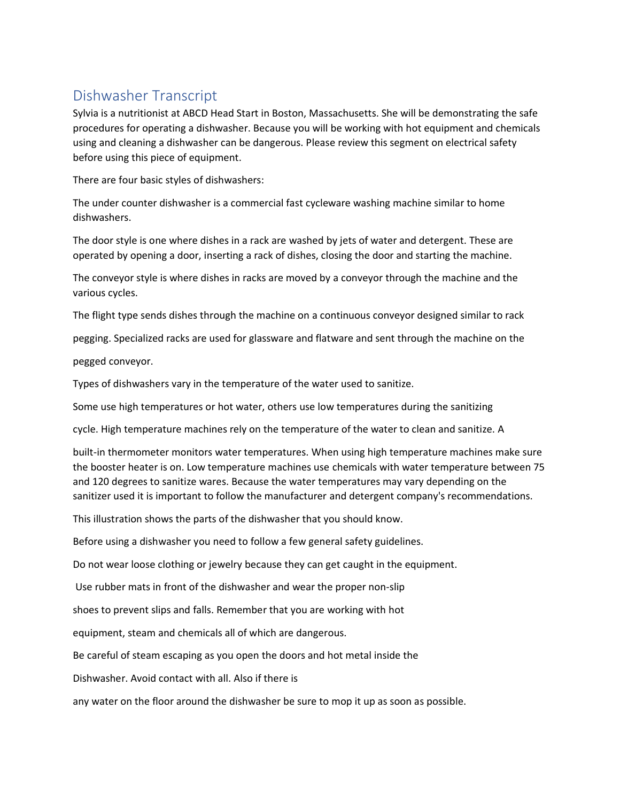## Dishwasher Transcript

Sylvia is a nutritionist at ABCD Head Start in Boston, Massachusetts. She will be demonstrating the safe procedures for operating a dishwasher. Because you will be working with hot equipment and chemicals using and cleaning a dishwasher can be dangerous. Please review this segment on electrical safety before using this piece of equipment.

There are four basic styles of dishwashers:

The under counter dishwasher is a commercial fast cycleware washing machine similar to home dishwashers.

The door style is one where dishes in a rack are washed by jets of water and detergent. These are operated by opening a door, inserting a rack of dishes, closing the door and starting the machine.

The conveyor style is where dishes in racks are moved by a conveyor through the machine and the various cycles.

The flight type sends dishes through the machine on a continuous conveyor designed similar to rack

pegging. Specialized racks are used for glassware and flatware and sent through the machine on the

pegged conveyor.

Types of dishwashers vary in the temperature of the water used to sanitize.

Some use high temperatures or hot water, others use low temperatures during the sanitizing

cycle. High temperature machines rely on the temperature of the water to clean and sanitize. A

built-in thermometer monitors water temperatures. When using high temperature machines make sure the booster heater is on. Low temperature machines use chemicals with water temperature between 75 and 120 degrees to sanitize wares. Because the water temperatures may vary depending on the sanitizer used it is important to follow the manufacturer and detergent company's recommendations.

This illustration shows the parts of the dishwasher that you should know.

Before using a dishwasher you need to follow a few general safety guidelines.

Do not wear loose clothing or jewelry because they can get caught in the equipment.

Use rubber mats in front of the dishwasher and wear the proper non-slip

shoes to prevent slips and falls. Remember that you are working with hot

equipment, steam and chemicals all of which are dangerous.

Be careful of steam escaping as you open the doors and hot metal inside the

Dishwasher. Avoid contact with all. Also if there is

any water on the floor around the dishwasher be sure to mop it up as soon as possible.